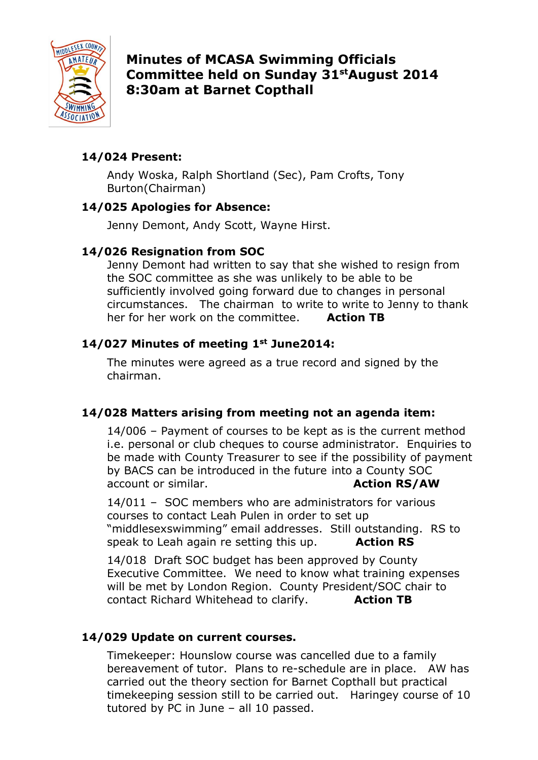

Minutes of MCASA Swimming Officials Committee held on Sunday 31st August 2014 8:30am at Barnet Copthall

# 14/024 Present:

Andy Woska, Ralph Shortland (Sec), Pam Crofts, Tony Burton(Chairman)

### 14/025 Apologies for Absence:

Jenny Demont, Andy Scott, Wayne Hirst.

# 14/026 Resignation from SOC

Jenny Demont had written to say that she wished to resign from the SOC committee as she was unlikely to be able to be sufficiently involved going forward due to changes in personal circumstances. The chairman to write to write to Jenny to thank her for her work on the committee. Action TB

# 14/027 Minutes of meeting 1st June2014:

The minutes were agreed as a true record and signed by the chairman.

## 14/028 Matters arising from meeting not an agenda item:

 14/006 – Payment of courses to be kept as is the current method i.e. personal or club cheques to course administrator. Enquiries to be made with County Treasurer to see if the possibility of payment by BACS can be introduced in the future into a County SOC account or similar. Action RS/AW

 14/011 – SOC members who are administrators for various courses to contact Leah Pulen in order to set up "middlesexswimming" email addresses. Still outstanding. RS to speak to Leah again re setting this up.  $\overline{\text{Action RS}}$ 

 14/018 Draft SOC budget has been approved by County Executive Committee. We need to know what training expenses will be met by London Region. County President/SOC chair to contact Richard Whitehead to clarify. **Action TB** 

## 14/029 Update on current courses.

Timekeeper: Hounslow course was cancelled due to a family bereavement of tutor. Plans to re-schedule are in place. AW has carried out the theory section for Barnet Copthall but practical timekeeping session still to be carried out. Haringey course of 10 tutored by PC in June – all 10 passed.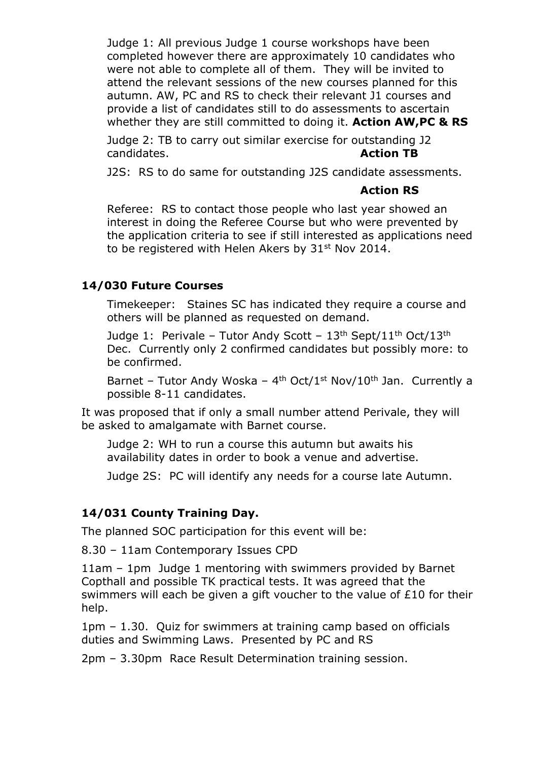Judge 1: All previous Judge 1 course workshops have been completed however there are approximately 10 candidates who were not able to complete all of them. They will be invited to attend the relevant sessions of the new courses planned for this autumn. AW, PC and RS to check their relevant J1 courses and provide a list of candidates still to do assessments to ascertain whether they are still committed to doing it. Action AW, PC & RS

Judge 2: TB to carry out similar exercise for outstanding J2 candidates. **Action TB** 

J2S: RS to do same for outstanding J2S candidate assessments.

#### Action RS

Referee: RS to contact those people who last year showed an interest in doing the Referee Course but who were prevented by the application criteria to see if still interested as applications need to be registered with Helen Akers by 31<sup>st</sup> Nov 2014.

### 14/030 Future Courses

Timekeeper: Staines SC has indicated they require a course and others will be planned as requested on demand.

Judge 1: Perivale – Tutor Andy Scott –  $13<sup>th</sup>$  Sept/11<sup>th</sup> Oct/13<sup>th</sup> Dec. Currently only 2 confirmed candidates but possibly more: to be confirmed.

Barnet – Tutor Andy Woska –  $4<sup>th</sup>$  Oct/1<sup>st</sup> Nov/10<sup>th</sup> Jan. Currently a possible 8-11 candidates.

It was proposed that if only a small number attend Perivale, they will be asked to amalgamate with Barnet course.

Judge 2: WH to run a course this autumn but awaits his availability dates in order to book a venue and advertise.

Judge 2S: PC will identify any needs for a course late Autumn.

## 14/031 County Training Day.

The planned SOC participation for this event will be:

8.30 – 11am Contemporary Issues CPD

11am – 1pm Judge 1 mentoring with swimmers provided by Barnet Copthall and possible TK practical tests. It was agreed that the swimmers will each be given a gift voucher to the value of £10 for their help.

1pm – 1.30. Quiz for swimmers at training camp based on officials duties and Swimming Laws. Presented by PC and RS

2pm – 3.30pm Race Result Determination training session.